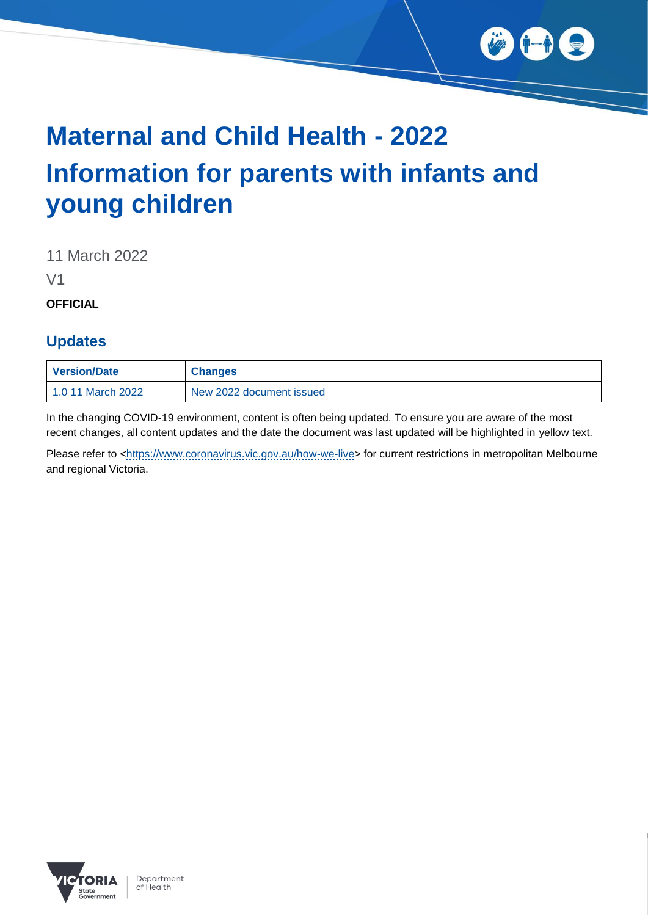

# **Maternal and Child Health - 2022 Information for parents with infants and young children**

11 March 2022

V1

**OFFICIAL**

### **Updates**

| <b>Version/Date</b> | <b>Changes</b>           |
|---------------------|--------------------------|
| 1.0 11 March 2022   | New 2022 document issued |

In the changing COVID-19 environment, content is often being updated. To ensure you are aware of the most recent changes, all content updates and the date the document was last updated will be highlighted in yellow text.

Please refer to [<https://www.coronavirus.vic.gov.au/how-we-live>](https://www.coronavirus.vic.gov.au/how-we-live) for current restrictions in metropolitan Melbourne and regional Victoria.

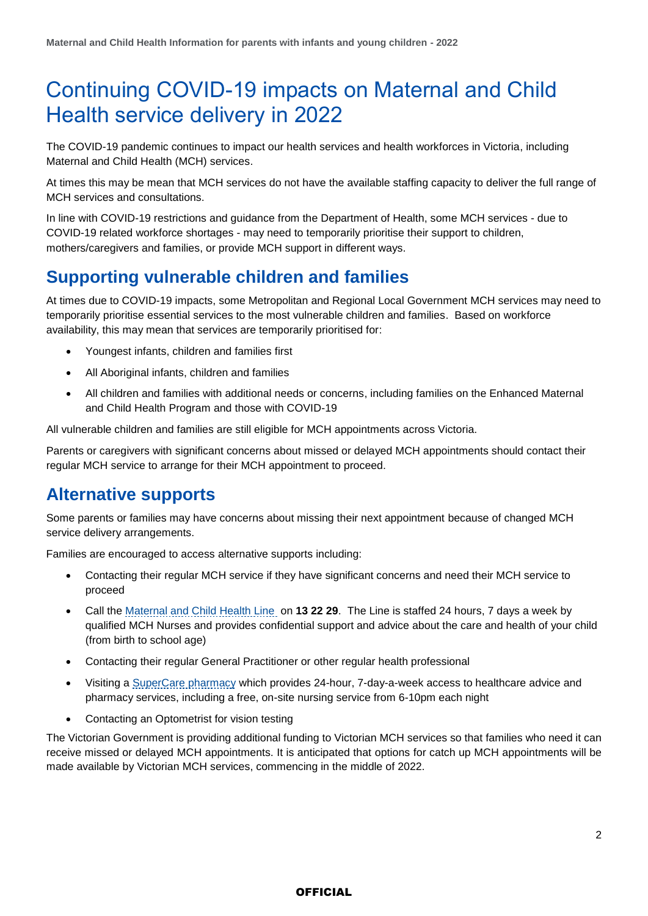## Continuing COVID-19 impacts on Maternal and Child Health service delivery in 2022

The COVID-19 pandemic continues to impact our health services and health workforces in Victoria, including Maternal and Child Health (MCH) services.

At times this may be mean that MCH services do not have the available staffing capacity to deliver the full range of MCH services and consultations.

In line with COVID-19 restrictions and guidance from the Department of Health, some MCH services - due to COVID-19 related workforce shortages - may need to temporarily prioritise their support to children, mothers/caregivers and families, or provide MCH support in different ways.

## **Supporting vulnerable children and families**

At times due to COVID-19 impacts, some Metropolitan and Regional Local Government MCH services may need to temporarily prioritise essential services to the most vulnerable children and families. Based on workforce availability, this may mean that services are temporarily prioritised for:

- Youngest infants, children and families first
- All Aboriginal infants, children and families
- All children and families with additional needs or concerns, including families on the Enhanced Maternal and Child Health Program and those with COVID-19

All vulnerable children and families are still eligible for MCH appointments across Victoria.

Parents or caregivers with significant concerns about missed or delayed MCH appointments should contact their regular MCH service to arrange for their MCH appointment to proceed.

## **Alternative supports**

Some parents or families may have concerns about missing their next appointment because of changed MCH service delivery arrangements.

Families are encouraged to access alternative supports including:

- Contacting their regular MCH service if they have significant concerns and need their MCH service to proceed
- Call the [Maternal and Child Health Line](https://www.betterhealth.vic.gov.au/health/serviceprofiles/maternal-and-child-health-line-service) on **13 22 29**. The Line is staffed 24 hours, 7 days a week by qualified MCH Nurses and provides confidential support and advice about the care and health of your child (from birth to school age)
- Contacting their regular General Practitioner or other regular health professional
- Visiting a [SuperCare pharmacy](https://www.betterhealth.vic.gov.au/health/servicesandsupport/victorian-supercare-pharmacies) which provides 24-hour, 7-day-a-week access to healthcare advice and pharmacy services, including a free, on-site nursing service from 6-10pm each night
- Contacting an Optometrist for vision testing

The Victorian Government is providing additional funding to Victorian MCH services so that families who need it can receive missed or delayed MCH appointments. It is anticipated that options for catch up MCH appointments will be made available by Victorian MCH services, commencing in the middle of 2022.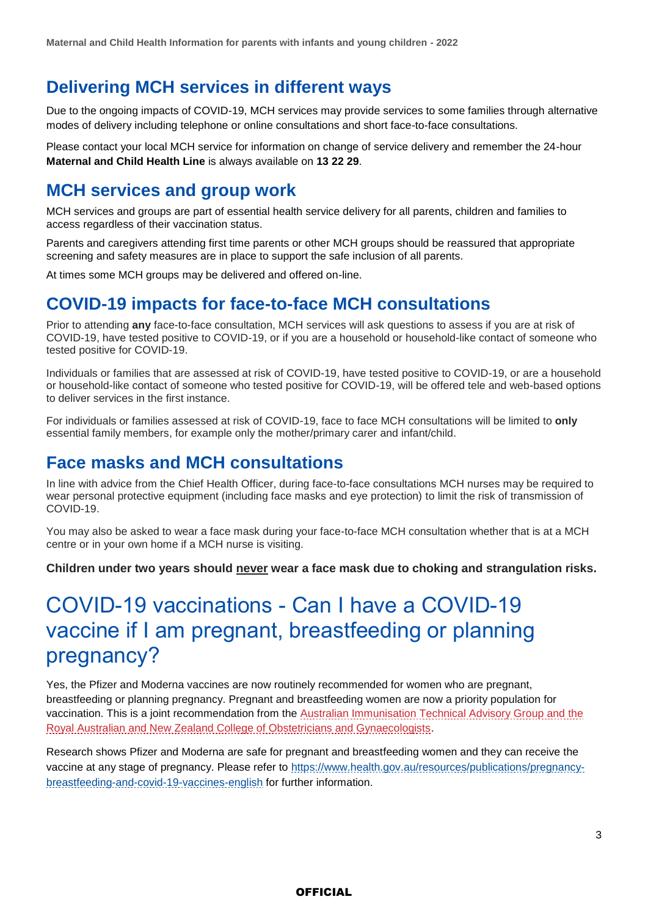## **Delivering MCH services in different ways**

Due to the ongoing impacts of COVID-19, MCH services may provide services to some families through alternative modes of delivery including telephone or online consultations and short face-to-face consultations.

Please contact your local MCH service for information on change of service delivery and remember the 24-hour **Maternal and Child Health Line** is always available on **13 22 29**.

## **MCH services and group work**

MCH services and groups are part of essential health service delivery for all parents, children and families to access regardless of their vaccination status.

Parents and caregivers attending first time parents or other MCH groups should be reassured that appropriate screening and safety measures are in place to support the safe inclusion of all parents.

At times some MCH groups may be delivered and offered on-line.

### **COVID-19 impacts for face-to-face MCH consultations**

Prior to attending **any** face-to-face consultation, MCH services will ask questions to assess if you are at risk of COVID-19, have tested positive to COVID-19, or if you are a household or household-like contact of someone who tested positive for COVID-19.

Individuals or families that are assessed at risk of COVID-19, have tested positive to COVID-19, or are a household or household-like contact of someone who tested positive for COVID-19, will be offered tele and web-based options to deliver services in the first instance.

For individuals or families assessed at risk of COVID-19, face to face MCH consultations will be limited to **only** essential family members, for example only the mother/primary carer and infant/child.

### **Face masks and MCH consultations**

In line with advice from the Chief Health Officer, during face-to-face consultations MCH nurses may be required to wear personal protective equipment (including face masks and eye protection) to limit the risk of transmission of COVID-19.

You may also be asked to wear a face mask during your face-to-face MCH consultation whether that is at a MCH centre or in your own home if a MCH nurse is visiting.

**Children under two years should never wear a face mask due to choking and strangulation risks.**

## COVID-19 vaccinations - [Can I have a COVID-19](https://www.ncirs.org.au/covid-19/covid-19-vaccines-frequently-asked-questions)  [vaccine if I am pregnant, breastfeeding or planning](https://www.ncirs.org.au/covid-19/covid-19-vaccines-frequently-asked-questions)  [pregnancy?](https://www.ncirs.org.au/covid-19/covid-19-vaccines-frequently-asked-questions)

Yes, the Pfizer and Moderna vaccines are now routinely recommended for women who are pregnant, breastfeeding or planning pregnancy. Pregnant and breastfeeding women are now a priority population for vaccination. This is a joint recommendation from the [Australian Immunisation Technical Advisory Group and the](https://www.health.gov.au/news/joint-statement-between-ranzcog-and-atagi-about-covid-19-vaccination-for-pregnant-women#:~:text=RANZCOG%20and%20ATAGI%20recommend%20that,at%20any%20stage%20of%20pregnancy.&text=Women%20who%20are%20trying%20to,avoid%20becoming%20pregnant%20after%20vaccination)  [Royal Australian and New Zealand College of Obstetricians and Gynaecologists.](https://www.health.gov.au/news/joint-statement-between-ranzcog-and-atagi-about-covid-19-vaccination-for-pregnant-women#:~:text=RANZCOG%20and%20ATAGI%20recommend%20that,at%20any%20stage%20of%20pregnancy.&text=Women%20who%20are%20trying%20to,avoid%20becoming%20pregnant%20after%20vaccination)

Research shows Pfizer and Moderna are safe for pregnant and breastfeeding women and they can receive the vaccine at any stage of pregnancy. Please refer to [https://www.health.gov.au/resources/publications/pregnancy](https://www.health.gov.au/resources/publications/pregnancy-breastfeeding-and-covid-19-vaccines-english)[breastfeeding-and-covid-19-vaccines-english](https://www.health.gov.au/resources/publications/pregnancy-breastfeeding-and-covid-19-vaccines-english) for further information.

#### **OFFICIAL**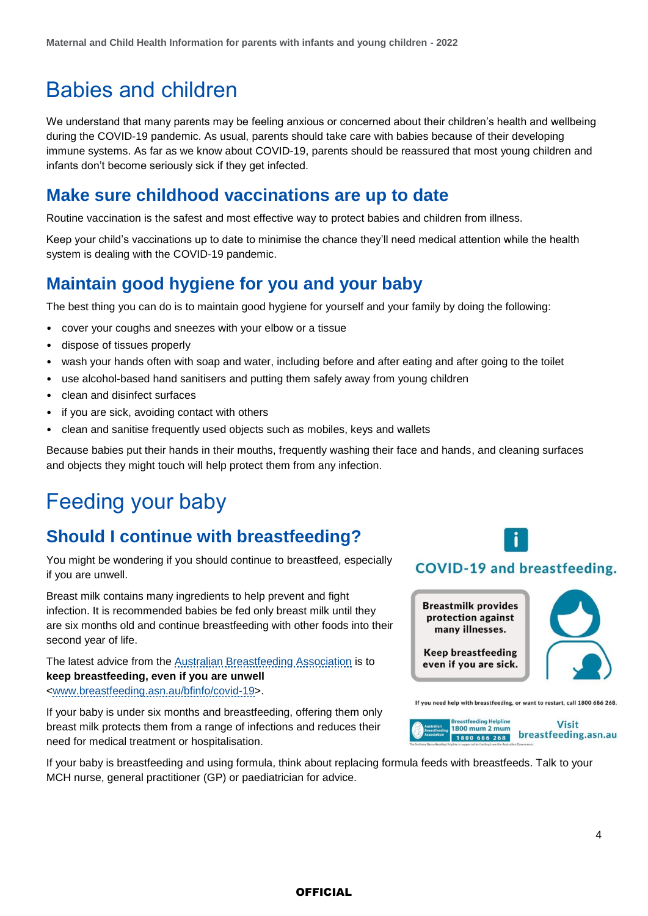## Babies and children

We understand that many parents may be feeling anxious or concerned about their children's health and wellbeing during the COVID-19 pandemic. As usual, parents should take care with babies because of their developing immune systems. As far as we know about COVID-19, parents should be reassured that most young children and infants don't become seriously sick if they get infected.

## **Make sure childhood vaccinations are up to date**

Routine vaccination is the safest and most effective way to protect babies and children from illness.

Keep your child's vaccinations up to date to minimise the chance they'll need medical attention while the health system is dealing with the COVID-19 pandemic.

## **Maintain good hygiene for you and your baby**

The best thing you can do is to maintain good hygiene for yourself and your family by doing the following:

- cover your coughs and sneezes with your elbow or a tissue
- dispose of tissues properly
- wash your hands often with soap and water, including before and after eating and after going to the toilet
- use alcohol-based hand sanitisers and putting them safely away from young children
- clean and disinfect surfaces
- if you are sick, avoiding contact with others
- clean and sanitise frequently used objects such as mobiles, keys and wallets

Because babies put their hands in their mouths, frequently washing their face and hands, and cleaning surfaces and objects they might touch will help protect them from any infection.

## Feeding your baby

## **Should I continue with breastfeeding?**

You might be wondering if you should continue to breastfeed, especially if you are unwell.

Breast milk contains many ingredients to help prevent and fight infection. It is recommended babies be fed only breast milk until they are six months old and continue breastfeeding with other foods into their second year of life.

The latest advice from the [Australian Breastfeeding Association](http://www.breastfeeding.asn.au/bfinfo/covid-19) is to **keep breastfeeding, even if you are unwell** 

[<www.breastfeeding.asn.au/bfinfo/covid-19>](file:///C:/Users/vicqx96/Downloads/www.breastfeeding.asn.au/bfinfo/covid-19).

If your baby is under six months and breastfeeding, offering them only breast milk protects them from a range of infections and reduces their need for medical treatment or hospitalisation.

If your baby is breastfeeding and using formula, think about replacing formula feeds with breastfeeds. Talk to your MCH nurse, general practitioner (GP) or paediatrician for advice.



### **COVID-19 and breastfeeding.**

**Breastmilk provides** protection against many illnesses. **Keep breastfeeding** even if you are sick.

If you need help with breastfeeding, or want to restart, call 1800 686 268



4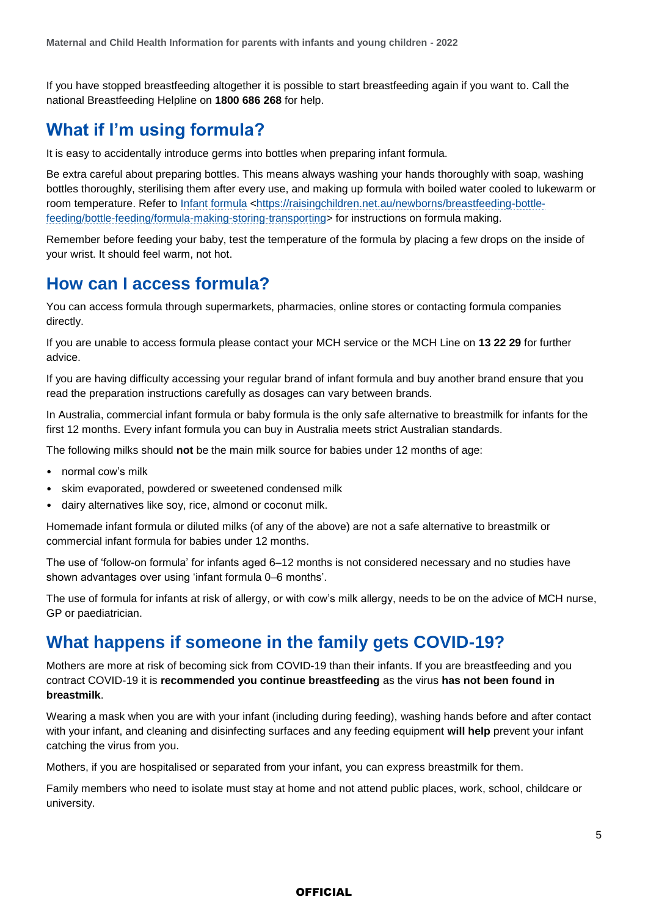If you have stopped breastfeeding altogether it is possible to start breastfeeding again if you want to. Call the national Breastfeeding Helpline on **1800 686 268** for help.

## **What if I'm using formula?**

It is easy to accidentally introduce germs into bottles when preparing infant formula.

Be extra careful about preparing bottles. This means always washing your hands thoroughly with soap, washing bottles thoroughly, sterilising them after every use, and making up formula with boiled water cooled to lukewarm or room temperature. Refer to [Infant formula](https://raisingchildren.net.au/newborns/breastfeeding-bottle-feeding/bottle-feeding/formula-making-storing-transporting) [<https://raisingchildren.net.au/newborns/breastfeeding-bottle](https://raisingchildren.net.au/newborns/breastfeeding-bottle-feeding/bottle-feeding/formula-making-storing-transporting)[feeding/bottle-feeding/formula-making-storing-transporting>](https://raisingchildren.net.au/newborns/breastfeeding-bottle-feeding/bottle-feeding/formula-making-storing-transporting) for instructions on formula making.

Remember before feeding your baby, test the temperature of the formula by placing a few drops on the inside of your wrist. It should feel warm, not hot.

## **How can I access formula?**

You can access formula through supermarkets, pharmacies, online stores or contacting formula companies directly.

If you are unable to access formula please contact your MCH service or the MCH Line on **13 22 29** for further advice.

If you are having difficulty accessing your regular brand of infant formula and buy another brand ensure that you read the preparation instructions carefully as dosages can vary between brands.

In Australia, commercial infant formula or baby formula is the only safe alternative to breastmilk for infants for the first 12 months. Every infant formula you can buy in Australia meets strict Australian standards.

The following milks should **not** be the main milk source for babies under 12 months of age:

- normal cow's milk
- skim evaporated, powdered or sweetened condensed milk
- dairy alternatives like soy, rice, almond or coconut milk.

Homemade infant formula or diluted milks (of any of the above) are not a safe alternative to breastmilk or commercial infant formula for babies under 12 months.

The use of 'follow-on formula' for infants aged 6–12 months is not considered necessary and no studies have shown advantages over using 'infant formula 0–6 months'.

The use of formula for infants at risk of allergy, or with cow's milk allergy, needs to be on the advice of MCH nurse, GP or paediatrician.

## **What happens if someone in the family gets COVID-19?**

Mothers are more at risk of becoming sick from COVID-19 than their infants. If you are breastfeeding and you contract COVID-19 it is **recommended you continue breastfeeding** as the virus **has not been found in breastmilk**.

Wearing a mask when you are with your infant (including during feeding), washing hands before and after contact with your infant, and cleaning and disinfecting surfaces and any feeding equipment **will help** prevent your infant catching the virus from you.

Mothers, if you are hospitalised or separated from your infant, you can express breastmilk for them.

Family members who need to isolate must stay at home and not attend public places, work, school, childcare or university.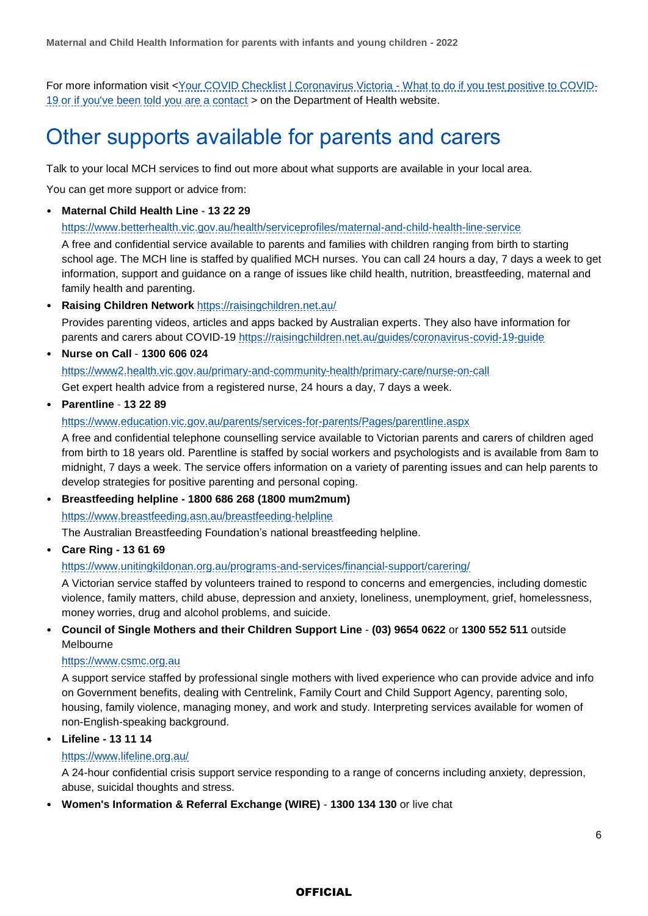For more information visit [<Your COVID Checklist | Coronavirus Victoria -](file:///E:/DHHS%20Back%20Up%20from%20Desk%20top/Desktop%20File/COVID-19/Factsheets%20and%20FAQs/2022/January%202022/Your%20COVID%20Checklist%20|%20Coronavirus%20Victoria) What to do if you test positive to COVID-[19 or if you've been told you are a contact](file:///E:/DHHS%20Back%20Up%20from%20Desk%20top/Desktop%20File/COVID-19/Factsheets%20and%20FAQs/2022/January%202022/Your%20COVID%20Checklist%20|%20Coronavirus%20Victoria) > on the Department of Health website.

## Other supports available for parents and carers

Talk to your local MCH services to find out more about what supports are available in your local area.

You can get more support or advice from:

• **Maternal Child Health Line - 13 22 29**

<https://www.betterhealth.vic.gov.au/health/serviceprofiles/maternal-and-child-health-line-service>

A free and confidential service available to parents and families with children ranging from birth to starting school age. The MCH line is staffed by qualified MCH nurses. You can call 24 hours a day, 7 days a week to get information, support and guidance on a range of issues like child health, nutrition, breastfeeding, maternal and family health and parenting.

• **Raising Children Network** <https://raisingchildren.net.au/>

Provides parenting videos, articles and apps backed by Australian experts. They also have information for parents and carers about COVID-19 <https://raisingchildren.net.au/guides/coronavirus-covid-19-guide>

• **Nurse on Call** - **1300 606 024**

<https://www2.health.vic.gov.au/primary-and-community-health/primary-care/nurse-on-call> Get expert health advice from a registered nurse, 24 hours a day, 7 days a week.

• **Parentline** - **13 22 89**

<https://www.education.vic.gov.au/parents/services-for-parents/Pages/parentline.aspx>

A free and confidential telephone counselling service available to Victorian parents and carers of children aged from birth to 18 years old. Parentline is staffed by social workers and psychologists and is available from 8am to midnight, 7 days a week. The service offers information on a variety of parenting issues and can help parents to develop strategies for positive parenting and personal coping.

• **Breastfeeding helpline - 1800 686 268 (1800 mum2mum)**

<https://www.breastfeeding.asn.au/breastfeeding-helpline>

The Australian Breastfeeding Foundation's national breastfeeding helpline.

• **Care Ring - 13 61 69** 

#### <https://www.unitingkildonan.org.au/programs-and-services/financial-support/carering/>

A Victorian service staffed by volunteers trained to respond to concerns and emergencies, including domestic violence, family matters, child abuse, depression and anxiety, loneliness, unemployment, grief, homelessness, money worries, drug and alcohol problems, and suicide.

• **Council of Single Mothers and their Children Support Line** - **(03) 9654 0622** or **1300 552 511** outside Melbourne

#### [https://www.csmc.org.au](https://www.csmc.org.au/)

A support service staffed by professional single mothers with lived experience who can provide advice and info on Government benefits, dealing with Centrelink, Family Court and Child Support Agency, parenting solo, housing, family violence, managing money, and work and study. Interpreting services available for women of non-English-speaking background.

• **Lifeline - 13 11 14** 

#### <https://www.lifeline.org.au/>

A 24-hour confidential crisis support service responding to a range of concerns including anxiety, depression, abuse, suicidal thoughts and stress.

• **Women's Information & Referral Exchange (WIRE)** - **1300 134 130** or live chat